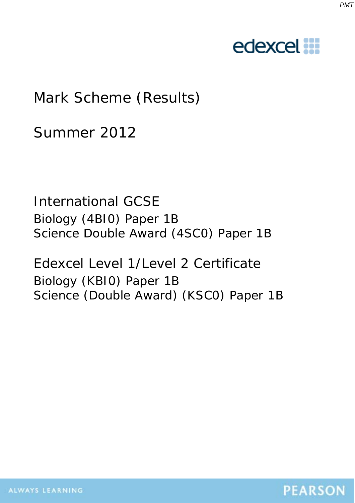#### *PMT*

# edexcel :::

# Mark Scheme (Results)

Summer 2012

International GCSE Biology (4BI0) Paper 1B Science Double Award (4SC0) Paper 1B

Edexcel Level 1/Level 2 Certificate Biology (KBI0) Paper 1B Science (Double Award) (KSC0) Paper 1B

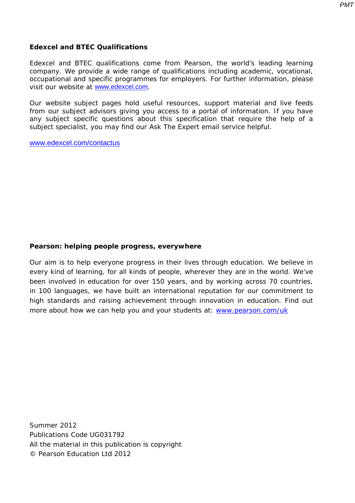*PMT*

#### **Edexcel and BTEC Qualifications**

Edexcel and BTEC qualifications come from Pearson, the world's leading learning company. We provide a wide range of qualifications including academic, vocational, occupational and specific programmes for employers. For further information, please visit our website at www.edexcel.com.

Our website subject pages hold useful resources, support material and live feeds from our subject advisors giving you access to a portal of information. If you have any subject specific questions about this specification that require the help of a subject specialist, you may find our Ask The Expert email service helpful.

www.edexcel.com/contactus

### **Pearson: helping people progress, everywhere**

Our aim is to help everyone progress in their lives through education. We believe in every kind of learning, for all kinds of people, wherever they are in the world. We've been involved in education for over 150 years, and by working across 70 countries, in 100 languages, we have built an international reputation for our commitment to high standards and raising achievement through innovation in education. Find out more about how we can help you and your students at: www.pearson.com/uk

Summer 2012 Publications Code UG031792 All the material in this publication is copyright © Pearson Education Ltd 2012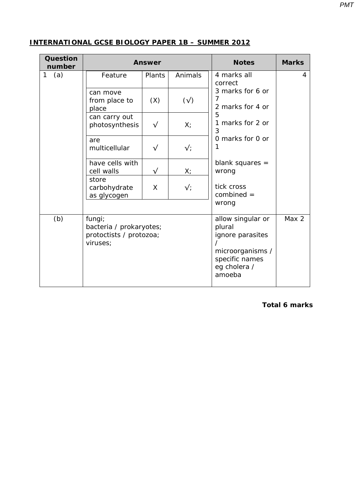| <b>Question</b><br>number | <b>Answer</b>                                                            |           |                | <b>Notes</b>                                                                                                    | <b>Marks</b> |
|---------------------------|--------------------------------------------------------------------------|-----------|----------------|-----------------------------------------------------------------------------------------------------------------|--------------|
| 1<br>(a)                  | Feature                                                                  | Plants    | Animals        | 4 marks all<br>correct                                                                                          | 4            |
|                           | can move<br>from place to<br>place                                       | (X)       | $(\sqrt{2})$   | 3 marks for 6 or<br>7<br>2 marks for 4 or                                                                       |              |
|                           | can carry out<br>photosynthesis                                          | $\sqrt{}$ | X              | 5<br>1 marks for 2 or<br>3                                                                                      |              |
|                           | are<br>multicellular                                                     | $\sqrt{}$ | $\sqrt{\cdot}$ | 0 marks for 0 or                                                                                                |              |
|                           | have cells with<br>cell walls                                            | $\sqrt{}$ | $X_{i}$        | blank squares $=$<br>wrong                                                                                      |              |
|                           | store<br>carbohydrate<br>as glycogen                                     | X         | $\sqrt{\cdot}$ | tick cross<br>$combined =$<br>wrong                                                                             |              |
| (b)                       | fungi;<br>bacteria / prokaryotes;<br>protoctists / protozoa;<br>viruses; |           |                | allow singular or<br>plural<br>ignore parasites<br>microorganisms /<br>specific names<br>eg cholera /<br>amoeba | Max 2        |

#### **INTERNATIONAL GCSE BIOLOGY PAPER 1B – SUMMER 2012**

**Total 6 marks**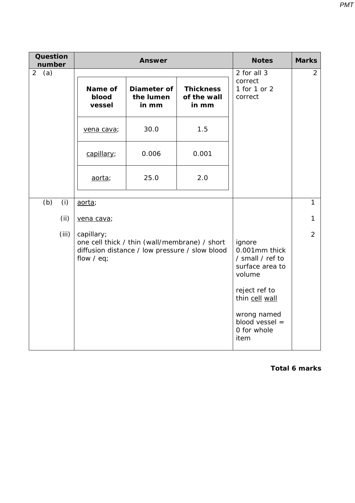| <b>Question</b><br>number |       | <b>Answer</b>              |                                                                                                 |                                          | <b>Notes</b>                                                                                                                                                          | <b>Marks</b>   |
|---------------------------|-------|----------------------------|-------------------------------------------------------------------------------------------------|------------------------------------------|-----------------------------------------------------------------------------------------------------------------------------------------------------------------------|----------------|
| 2<br>(a)                  |       | Name of<br>blood<br>vessel | Diameter of<br>the lumen<br>in mm                                                               | <b>Thickness</b><br>of the wall<br>in mm | 2 for all 3<br>correct<br>1 for 1 or 2<br>correct                                                                                                                     | 2              |
|                           |       | vena cava;                 | 30.0                                                                                            | 1.5                                      |                                                                                                                                                                       |                |
|                           |       | capillary;                 | 0.006                                                                                           | 0.001                                    |                                                                                                                                                                       |                |
|                           |       | aorta;                     | 25.0                                                                                            | 2.0                                      |                                                                                                                                                                       |                |
| (b)                       | (i)   | aorta;                     |                                                                                                 |                                          |                                                                                                                                                                       | $\mathbf{1}$   |
|                           | (i)   | vena cava;                 |                                                                                                 |                                          |                                                                                                                                                                       | $\mathbf{1}$   |
|                           | (iii) | capillary;<br>flow $/$ eq; | one cell thick / thin (wall/membrane) / short<br>diffusion distance / low pressure / slow blood |                                          | ignore<br>0.001mm thick<br>/ small / ref to<br>surface area to<br>volume<br>reject ref to<br>thin cell wall<br>wrong named<br>blood vessel $=$<br>0 for whole<br>item | $\overline{2}$ |

**Total 6 marks**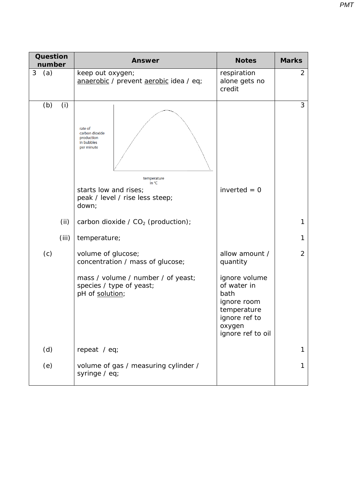| <b>Question</b><br>number   | <b>Answer</b>                                                                                                                                                                                                                      | <b>Notes</b>                                                                                                                                     | <b>Marks</b>   |
|-----------------------------|------------------------------------------------------------------------------------------------------------------------------------------------------------------------------------------------------------------------------------|--------------------------------------------------------------------------------------------------------------------------------------------------|----------------|
| 3<br>(a)                    | keep out oxygen;<br>anaerobic / prevent aerobic idea / eq;                                                                                                                                                                         | respiration<br>alone gets no<br>credit                                                                                                           | $\overline{2}$ |
| (b)<br>(i)<br>(ii)<br>(iii) | rate of<br>carbon dioxide<br>production<br>in bubbles<br>per minute<br>temperature<br>in $^{\circ}$ C<br>starts low and rises;<br>peak / level / rise less steep;<br>down;<br>carbon dioxide / $CO2$ (production);<br>temperature; | inverted $= 0$                                                                                                                                   | 3<br>1<br>1    |
| (c)                         | volume of glucose;<br>concentration / mass of glucose;<br>mass / volume / number / of yeast;<br>species / type of yeast;<br>pH of solution;                                                                                        | allow amount /<br>quantity<br>ignore volume<br>of water in<br>bath<br>ignore room<br>temperature<br>ignore ref to<br>oxygen<br>ignore ref to oil | $\overline{2}$ |
| (d)                         | repeat / eq;                                                                                                                                                                                                                       |                                                                                                                                                  |                |
| (e)                         | volume of gas / measuring cylinder /<br>syringe / eq;                                                                                                                                                                              |                                                                                                                                                  | 1              |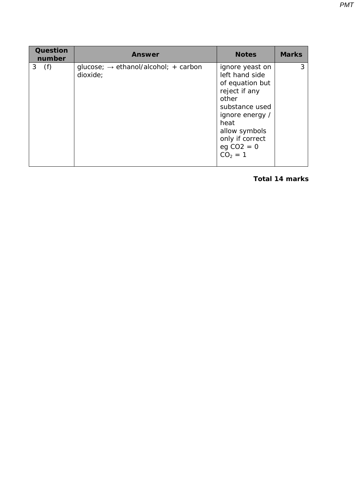| <b>Question</b><br>number | Answer                                                       | <b>Notes</b>                                                                                                                                                                                 | <b>Marks</b> |
|---------------------------|--------------------------------------------------------------|----------------------------------------------------------------------------------------------------------------------------------------------------------------------------------------------|--------------|
| 3(f)                      | glucose; $\rightarrow$ ethanol/alcohol; + carbon<br>dioxide; | ignore yeast on<br>left hand side<br>of equation but<br>reject if any<br>other<br>substance used<br>ignore energy /<br>heat<br>allow symbols<br>only if correct<br>$eg CO2 = 0$<br>$CO2 = 1$ | 3            |

#### **Total 14 marks**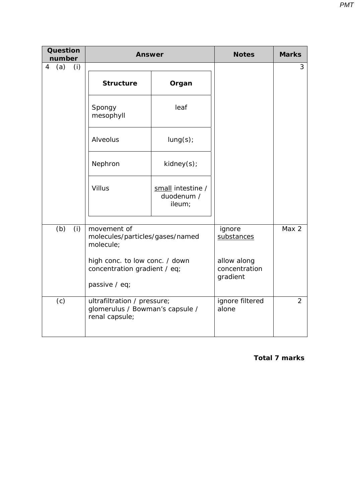| <b>Question</b><br><b>Answer</b><br>number |                                                                                  | <b>Notes</b>                              | <b>Marks</b>                             |                |
|--------------------------------------------|----------------------------------------------------------------------------------|-------------------------------------------|------------------------------------------|----------------|
| $\overline{4}$<br>(a)<br>(i)               | <b>Structure</b>                                                                 | Organ                                     |                                          | 3              |
|                                            | Spongy<br>mesophyll                                                              | leaf                                      |                                          |                |
|                                            | Alveolus                                                                         | lung(s);                                  |                                          |                |
|                                            | Nephron                                                                          | kidney(s);                                |                                          |                |
|                                            | <b>Villus</b>                                                                    | small intestine /<br>duodenum /<br>ileum; |                                          |                |
| (b)<br>(i)                                 | movement of<br>molecule;<br>high conc. to low conc. / down                       | molecules/particles/gases/named           |                                          | Max 2          |
|                                            | concentration gradient / eq;<br>passive / eq;                                    |                                           | allow along<br>concentration<br>gradient |                |
| (c)                                        | ultrafiltration / pressure;<br>glomerulus / Bowman's capsule /<br>renal capsule; |                                           | ignore filtered<br>alone                 | $\overline{2}$ |

 **Total 7 marks**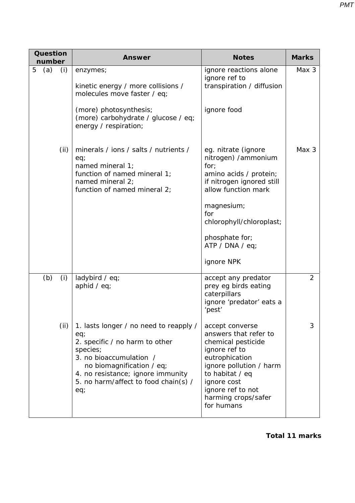| Question<br>number | <b>Answer</b>                                                                                                                                                                                                                           | <b>Notes</b>                                                                                                                                                                                                                         | <b>Marks</b>   |
|--------------------|-----------------------------------------------------------------------------------------------------------------------------------------------------------------------------------------------------------------------------------------|--------------------------------------------------------------------------------------------------------------------------------------------------------------------------------------------------------------------------------------|----------------|
| 5<br>(a)<br>(i)    | enzymes;<br>kinetic energy / more collisions /<br>molecules move faster / eq;                                                                                                                                                           | ignore reactions alone<br>ignore ref to<br>transpiration / diffusion                                                                                                                                                                 | Max 3          |
|                    | (more) photosynthesis;<br>(more) carbohydrate / glucose / eq;<br>energy / respiration;                                                                                                                                                  | ignore food                                                                                                                                                                                                                          |                |
| (ii)               | minerals / ions / salts / nutrients /<br>eq;<br>named mineral 1;<br>function of named mineral 1;<br>named mineral 2;<br>function of named mineral 2;                                                                                    | eg. nitrate (ignore<br>nitrogen) /ammonium<br>for;<br>amino acids / protein;<br>if nitrogen ignored still<br>allow function mark<br>magnesium;<br>for<br>chlorophyll/chloroplast;<br>phosphate for;<br>ATP / DNA / eq;<br>ignore NPK | Max 3          |
| (b)<br>(i)         | ladybird / eq;<br>aphid $/$ eq;                                                                                                                                                                                                         | accept any predator<br>prey eg birds eating<br>caterpillars<br>ignore 'predator' eats a<br>'pest'                                                                                                                                    | $\overline{2}$ |
| (ii)               | 1. lasts longer / no need to reapply /<br>eq;<br>2. specific / no harm to other<br>species;<br>3. no bioaccumulation /<br>no biomagnification / eq;<br>4. no resistance; ignore immunity<br>5. no harm/affect to food chain(s) /<br>eq; | accept converse<br>answers that refer to<br>chemical pesticide<br>ignore ref to<br>eutrophication<br>ignore pollution / harm<br>to habitat / eq<br>ignore cost<br>ignore ref to not<br>harming crops/safer<br>for humans             | 3              |

**Total 11 marks**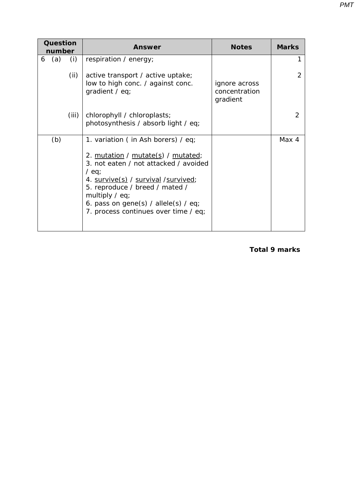| Question |        |       | Answer                                                                                                                                                                                                                                                                                                   | <b>Notes</b>                               | <b>Marks</b> |
|----------|--------|-------|----------------------------------------------------------------------------------------------------------------------------------------------------------------------------------------------------------------------------------------------------------------------------------------------------------|--------------------------------------------|--------------|
|          | number |       |                                                                                                                                                                                                                                                                                                          |                                            |              |
| 6        | (a)    | (i)   | respiration / energy;                                                                                                                                                                                                                                                                                    |                                            |              |
|          |        | (ii)  | active transport / active uptake;<br>low to high conc. / against conc.<br>gradient / $eq$ ;                                                                                                                                                                                                              | ignore across<br>concentration<br>gradient |              |
|          |        | (iii) | chlorophyll / chloroplasts;<br>photosynthesis / absorb light / eq;                                                                                                                                                                                                                                       |                                            | 2            |
|          | (b)    |       | 1. variation (in Ash borers) / eq;<br>2. mutation / mutate(s) / mutated;<br>3. not eaten / not attacked / avoided<br>/ eq;<br>4. survive(s) / survival / survived;<br>5. reproduce / breed / mated /<br>multiply $/$ eq;<br>6. pass on gene(s) / allele(s) / eq;<br>7. process continues over time / eq; |                                            | Max 4        |
|          |        |       |                                                                                                                                                                                                                                                                                                          |                                            |              |

#### **Total 9 marks**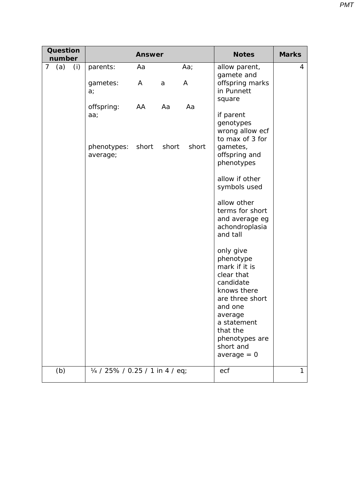| <b>Question</b><br>number    |                                 | <b>Answer</b> |       |       | <b>Notes</b>                                                                                                                                                                                          | <b>Marks</b> |
|------------------------------|---------------------------------|---------------|-------|-------|-------------------------------------------------------------------------------------------------------------------------------------------------------------------------------------------------------|--------------|
| 7 <sup>7</sup><br>(a)<br>(i) | parents:                        | Aa            |       | Aa;   | allow parent,<br>gamete and                                                                                                                                                                           | 4            |
|                              | gametes:<br>a <sub>i</sub>      | A             | a     | A     | offspring marks<br>in Punnett<br>square                                                                                                                                                               |              |
|                              | offspring:<br>aa;               | AA            | Aa    | Aa    | if parent<br>genotypes<br>wrong allow ecf<br>to max of 3 for                                                                                                                                          |              |
|                              | phenotypes:<br>average;         | short         | short | short | gametes,<br>offspring and<br>phenotypes                                                                                                                                                               |              |
|                              |                                 |               |       |       | allow if other<br>symbols used                                                                                                                                                                        |              |
|                              |                                 |               |       |       | allow other<br>terms for short<br>and average eg<br>achondroplasia<br>and tall                                                                                                                        |              |
|                              |                                 |               |       |       | only give<br>phenotype<br>mark if it is<br>clear that<br>candidate<br>knows there<br>are three short<br>and one<br>average<br>a statement<br>that the<br>phenotypes are<br>short and<br>average $= 0$ |              |
| (b)                          | 1/4 / 25% / 0.25 / 1 in 4 / eq; |               |       |       | ecf                                                                                                                                                                                                   | 1            |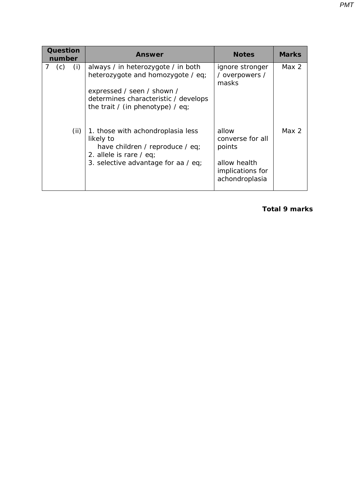| Question<br>number |            | Answer                                                                                                                                                                            | <b>Notes</b>                                                                              | <b>Marks</b>     |
|--------------------|------------|-----------------------------------------------------------------------------------------------------------------------------------------------------------------------------------|-------------------------------------------------------------------------------------------|------------------|
| 7 <sup>7</sup>     | (c)<br>(i) | always / in heterozygote / in both<br>heterozygote and homozygote / eq;<br>expressed / seen / shown /<br>determines characteristic / develops<br>the trait / (in phenotype) / eq; | ignore stronger<br>/ overpowers /<br>masks                                                | Max <sub>2</sub> |
|                    | (ii)       | 1. those with achondroplasia less<br>likely to<br>have children / reproduce / eq;<br>2. allele is rare $/$ eq;<br>3. selective advantage for aa / eq;                             | allow<br>converse for all<br>points<br>allow health<br>implications for<br>achondroplasia | Max $2$          |

**Total 9 marks**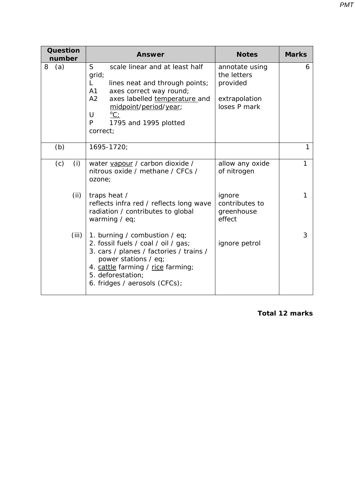| Question<br>number | <b>Answer</b>                                                                                                                                                                                                                                       | <b>Notes</b>                                                               | <b>Marks</b> |
|--------------------|-----------------------------------------------------------------------------------------------------------------------------------------------------------------------------------------------------------------------------------------------------|----------------------------------------------------------------------------|--------------|
| 8<br>(a)           | S<br>scale linear and at least half<br>grid;<br>L.<br>lines neat and through points;<br>A1<br>axes correct way round;<br>A2<br>axes labelled temperature and<br>midpoint/period/year;<br>U<br>$^{\circ}C$<br>P<br>1795 and 1995 plotted<br>correct; | annotate using<br>the letters<br>provided<br>extrapolation<br>loses P mark | 6            |
| (b)                | 1695-1720;                                                                                                                                                                                                                                          |                                                                            | 1            |
| (c)<br>(i)         | water vapour / carbon dioxide /<br>nitrous oxide / methane / CFCs /<br>ozone;                                                                                                                                                                       | allow any oxide<br>of nitrogen                                             | 1            |
| (ii)               | traps heat /<br>reflects infra red / reflects long wave<br>radiation / contributes to global<br>warming / eq;                                                                                                                                       | ignore<br>contributes to<br>greenhouse<br>effect                           | 1            |
| (iii)              | 1. burning / combustion / eq;<br>2. fossil fuels / coal / oil / gas;<br>3. cars / planes / factories / trains /<br>power stations / eq;<br>4. cattle farming / rice farming;<br>5. deforestation;<br>6. fridges / aerosols (CFCs);                  | ignore petrol                                                              | 3            |

**Total 12 marks**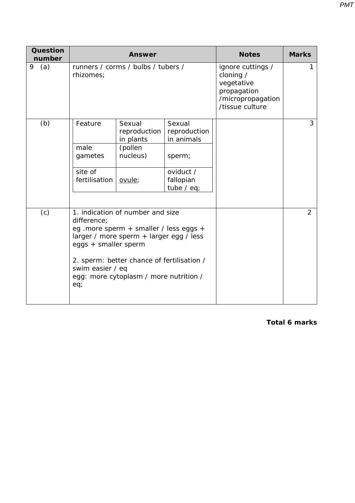| <b>Question</b><br>number |                                                        | <b>Answer</b>                                                                                                                                                                                                                         |                                                                                          | <b>Notes</b>                                                                                        | <b>Marks</b>   |
|---------------------------|--------------------------------------------------------|---------------------------------------------------------------------------------------------------------------------------------------------------------------------------------------------------------------------------------------|------------------------------------------------------------------------------------------|-----------------------------------------------------------------------------------------------------|----------------|
| (a)<br>9                  | runners / corms / bulbs / tubers /<br>rhizomes;        |                                                                                                                                                                                                                                       |                                                                                          | ignore cuttings /<br>cloning /<br>vegetative<br>propagation<br>/micropropagation<br>/tissue culture | 1              |
| (b)                       | Feature<br>male<br>gametes<br>site of<br>fertilisation | Sexual<br>reproduction<br>in plants<br>(pollen<br>nucleus)<br>ovule;                                                                                                                                                                  | Sexual<br>reproduction<br>in animals<br>sperm;<br>oviduct /<br>fallopian<br>tube $/$ eq; |                                                                                                     | 3              |
| (c)                       | difference;<br>swim easier / eq<br>eq;                 | 1. indication of number and size<br>eg .more sperm + smaller / less eggs +<br>larger / more sperm + larger egg / less<br>eggs + smaller sperm<br>2. sperm: better chance of fertilisation /<br>egg: more cytoplasm / more nutrition / |                                                                                          |                                                                                                     | $\overline{2}$ |

**Total 6 marks**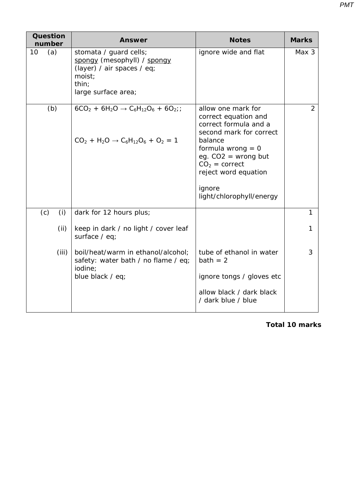| <b>Question</b><br>number | Answer                                                                                                                        | <b>Notes</b>                                                                                                                                                                                                                               | <b>Marks</b>   |
|---------------------------|-------------------------------------------------------------------------------------------------------------------------------|--------------------------------------------------------------------------------------------------------------------------------------------------------------------------------------------------------------------------------------------|----------------|
| (a)<br>10                 | stomata / guard cells;<br>spongy (mesophyll) / spongy<br>(layer) / air spaces / eq;<br>moist;<br>thin;<br>large surface area; | ignore wide and flat                                                                                                                                                                                                                       | Max 3          |
| (b)                       | $6CO_2 + 6H_2O \rightarrow C_6H_{12}O_6 + 6O_2$ ;<br>$CO_2 + H_2O \rightarrow C_6H_{12}O_6 + O_2 = 1$                         | allow one mark for<br>correct equation and<br>correct formula and a<br>second mark for correct<br>balance<br>formula wrong $= 0$<br>eg. $CO2$ = wrong but<br>$CO2 = correct$<br>reject word equation<br>ignore<br>light/chlorophyll/energy | $\overline{2}$ |
| (c)<br>(i)                | dark for 12 hours plus;                                                                                                       |                                                                                                                                                                                                                                            | 1              |
| (ii)                      | keep in dark / no light / cover leaf<br>surface / eq;                                                                         |                                                                                                                                                                                                                                            | 1              |
| (iii)                     | boil/heat/warm in ethanol/alcohol;<br>safety: water bath / no flame / eq;<br>iodine:                                          | tube of ethanol in water<br>$bath = 2$                                                                                                                                                                                                     | 3              |
|                           | blue black / eq;                                                                                                              | ignore tongs / gloves etc<br>allow black / dark black<br>/ dark blue / blue                                                                                                                                                                |                |

**Total 10 marks**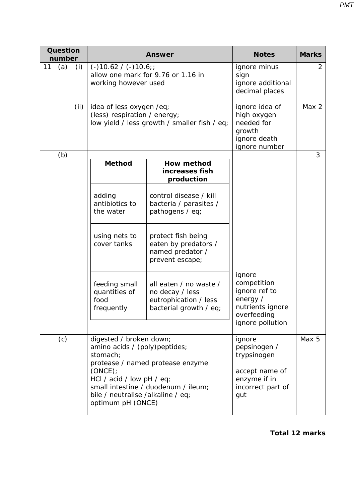| <b>Question</b><br>number | <b>Answer</b>                                                                                                                                                                                                                                      |                                                                                              | <b>Notes</b>                                                                                              | <b>Marks</b>   |
|---------------------------|----------------------------------------------------------------------------------------------------------------------------------------------------------------------------------------------------------------------------------------------------|----------------------------------------------------------------------------------------------|-----------------------------------------------------------------------------------------------------------|----------------|
| 11<br>(a)<br>(i)          | $(-)10.62 / (-)10.6$ ;<br>working however used                                                                                                                                                                                                     | allow one mark for 9.76 or 1.16 in                                                           | ignore minus<br>sign<br>ignore additional<br>decimal places                                               | $\overline{2}$ |
| (ii)                      | idea of less oxygen /eq;<br>(less) respiration / energy;<br>low yield / less growth / smaller fish / eq;                                                                                                                                           |                                                                                              | ignore idea of<br>high oxygen<br>needed for<br>growth<br>ignore death<br>ignore number                    | Max 2          |
| (b)                       | <b>Method</b>                                                                                                                                                                                                                                      | How method                                                                                   |                                                                                                           | 3              |
|                           |                                                                                                                                                                                                                                                    | increases fish<br>production                                                                 |                                                                                                           |                |
|                           | adding<br>antibiotics to<br>the water                                                                                                                                                                                                              | control disease / kill<br>bacteria / parasites /<br>pathogens / eq;                          |                                                                                                           |                |
|                           | using nets to<br>cover tanks                                                                                                                                                                                                                       | protect fish being<br>eaten by predators /<br>named predator /<br>prevent escape;            |                                                                                                           |                |
|                           | feeding small<br>quantities of<br>food<br>frequently                                                                                                                                                                                               | all eaten / no waste /<br>no decay / less<br>eutrophication / less<br>bacterial growth / eq; | ignore<br>competition<br>ignore ref to<br>energy /<br>nutrients ignore<br>overfeeding<br>ignore pollution |                |
| (c)                       | digested / broken down;<br>amino acids / (poly) peptides;<br>stomach;<br>protease / named protease enzyme<br>(ONCE);<br>HCl / acid / low pH / eq;<br>small intestine / duodenum / ileum;<br>bile / neutralise /alkaline / eq;<br>optimum pH (ONCE) |                                                                                              | ignore<br>pepsinogen /<br>trypsinogen<br>accept name of<br>enzyme if in<br>incorrect part of<br>gut       | Max 5          |

**Total 12 marks**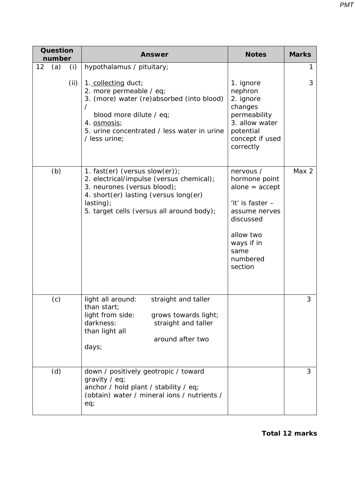| <b>Question</b><br>number | <b>Answer</b>                                                                                                                                                                                                                      | <b>Notes</b>                                                                                                                                               | <b>Marks</b> |
|---------------------------|------------------------------------------------------------------------------------------------------------------------------------------------------------------------------------------------------------------------------------|------------------------------------------------------------------------------------------------------------------------------------------------------------|--------------|
| 12<br>(a)<br>(i)<br>(ii)  | hypothalamus / pituitary;<br>1. collecting duct;<br>2. more permeable / eq;<br>3. (more) water (re)absorbed (into blood)<br>blood more dilute / eq;<br>4. osmosis;<br>5. urine concentrated / less water in urine<br>/ less urine; | 1. ignore<br>nephron<br>2. ignore<br>changes<br>permeability<br>3. allow water<br>potential<br>concept if used<br>correctly                                | 3            |
| (b)                       | 1. fast(er) (versus slow(er));<br>2. electrical/impulse (versus chemical);<br>3. neurones (versus blood);<br>4. short(er) lasting (versus long(er)<br>lasting);<br>5. target cells (versus all around body);                       | nervous /<br>hormone point<br>$alone = accept$<br>'it' is faster -<br>assume nerves<br>discussed<br>allow two<br>ways if in<br>same<br>numbered<br>section | Max 2        |
| (c)                       | light all around:<br>straight and taller<br>than start;<br>light from side:<br>grows towards light;<br>darkness:<br>straight and taller<br>than light all<br>around after two<br>days;                                             |                                                                                                                                                            | 3            |
| (d)                       | down / positively geotropic / toward<br>gravity $/$ eq;<br>anchor / hold plant / stability / eq;<br>(obtain) water / mineral ions / nutrients /<br>eq;                                                                             |                                                                                                                                                            | 3            |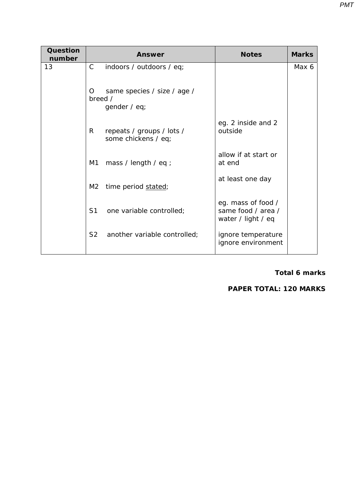| Question<br>number | <b>Answer</b>  |                                                  | <b>Notes</b>                                                   | <b>Marks</b> |
|--------------------|----------------|--------------------------------------------------|----------------------------------------------------------------|--------------|
| 13                 | $\mathsf{C}$   | indoors / outdoors / eq;                         |                                                                | Max 6        |
|                    | O<br>breed /   | same species / size / age /<br>gender / eq;      |                                                                |              |
|                    | R              | repeats / groups / lots /<br>some chickens / eq; | eg. 2 inside and 2<br>outside                                  |              |
|                    | M1             | mass / length / eq ;                             | allow if at start or<br>at end                                 |              |
|                    | M2             | time period stated;                              | at least one day                                               |              |
|                    | S1             | one variable controlled;                         | eg. mass of food /<br>same food / area /<br>water / light / eq |              |
|                    | S <sub>2</sub> | another variable controlled;                     | ignore temperature<br>ignore environment                       |              |

#### **Total 6 marks**

## **PAPER TOTAL: 120 MARKS**